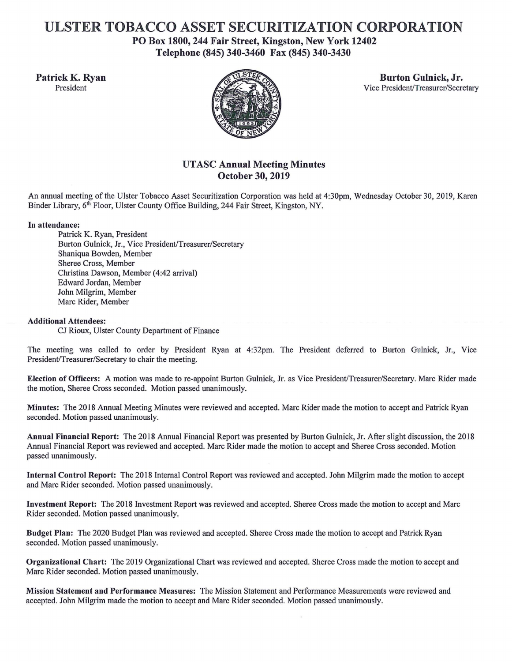## ULSTER TOBACCO ASSET SECURITIZATION CORPORATION

PO Box 1800, 244 Fair Street, Kingston, New York 12402 Telephone (845) 340-3460 Fax (845) 340-3430



Patrick K. Ryan Burton Gulnick, Jr.<br>President Vice President/Treasurer/Secret Vice President/Treasurer/Secretary

## UT ASC Annual Meeting Minutes October 30, 2019

An annual meeting of the Ulster Tobacco Asset Securitization Corporation was held at 4:30pm, Wednesday October 30, 2019, Karen Binder Library, 6<sup>th</sup> Floor, Ulster County Office Building, 244 Fair Street, Kingston, NY.

## In attendance:

Patrick K. Ryan, President Burton Gulnick, Jr., Vice President/Treasurer/Secretary Shaniqua Bowden, Member Sheree Cross, Member Christina Dawson, Member (4:42 arrival) Edward Jordan, Member John Milgrim, Member Marc Rider, Member

## Additional Attendees:

CJ Rioux, Ulster County Department of Finance

The meeting was called to order by President Ryan at 4:32pm. The President deferred to Burton Gulnick, Jr., Vice President/Treasurer/Secretary to chair the meeting.

Election of Officers: A motion was made to re-appoint Burton Gulnick, Jr. as Vice President/Treasurer/Secretary. Marc Rider made the motion, Sheree Cross seconded. Motion passed unanimously.

Minutes: The 2018 Annual Meeting Minutes were reviewed and accepted. Marc Rider made the motion to accept and Patrick Ryan seconded. Motion passed unanimously.

Annual Financial Report: The 2018 Annual Financial Report was presented by Burton Gulnick, Jr. After slight discussion, the 2018 Annual Financial Report was reviewed and accepted. Marc Rider made the motion to accept and Sheree Cross seconded. Motion passed unanimously.

Internal Control Report: The 2018 Internal Control Report was reviewed and accepted. John Milgrim made the motion to accept and Marc Rider seconded. Motion passed unanimously.

Investment Report: The 2018 Investment Report was reviewed and accepted. Sheree Cross made the motion to accept and Marc Rider seconded. Motion passed unanimously.

Budget Plan: The 2020 Budget Plan was reviewed and accepted. Sheree Cross made the motion to accept and Patrick Ryan seconded. Motion passed unanimously.

Organizational Chart: The 2019 Organizational Chart was reviewed and accepted. Sheree Cross made the motion to accept and Marc Rider seconded. Motion passed unanimously.

Mission Statement and Performance Measures: The Mission Statement and Performance Measurements were reviewed and accepted. John Milgrim made the motion to accept and Marc Rider seconded. Motion passed unanimously.